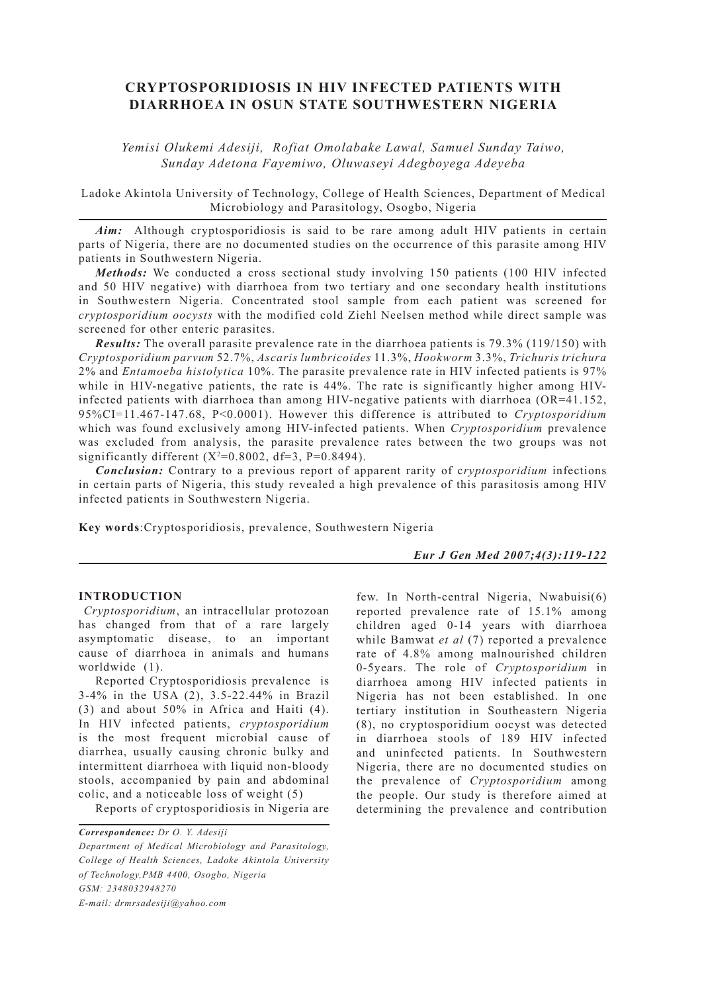# **CRYPTOSPORIDIOSIS IN HIV INFECTED PATIENTS WITH DIARRHOEA IN OSUN STATE SOUTHWESTERN NIGERIA**

*Yemisi Olukemi Adesiji, Rofiat Omolabake Lawal, Samuel Sunday Taiwo, Sunday Adetona Fayemiwo, Oluwaseyi Adegboyega Adeyeba*

Ladoke Akintola University of Technology, College of Health Sciences, Department of Medical Microbiology and Parasitology, Osogbo, Nigeria

*Aim:* Although cryptosporidiosis is said to be rare among adult HIV patients in certain parts of Nigeria, there are no documented studies on the occurrence of this parasite among HIV patients in Southwestern Nigeria.

*Methods:* We conducted a cross sectional study involving 150 patients (100 HIV infected and 50 HIV negative) with diarrhoea from two tertiary and one secondary health institutions in Southwestern Nigeria. Concentrated stool sample from each patient was screened for *cryptosporidium oocysts* with the modified cold Ziehl Neelsen method while direct sample was screened for other enteric parasites.

*Results:* The overall parasite prevalence rate in the diarrhoea patients is 79.3% (119/150) with *Cryptosporidium parvum* 52.7%, *Ascaris lumbricoides* 11.3%, *Hookworm* 3.3%, *Trichuris trichura* 2% and *Entamoeba histolytica* 10%. The parasite prevalence rate in HIV infected patients is 97% while in HIV-negative patients, the rate is 44%. The rate is significantly higher among HIVinfected patients with diarrhoea than among HIV-negative patients with diarrhoea (OR=41.152, 95%CI=11.467-147.68, P<0.0001). However this difference is attributed to *Cryptosporidium*  which was found exclusively among HIV-infected patients. When *Cryptosporidium* prevalence was excluded from analysis, the parasite prevalence rates between the two groups was not significantly different  $(X^2=0.8002, df=3, P=0.8494)$ .

*Conclusion:* Contrary to a previous report of apparent rarity of c*ryptosporidium* infections in certain parts of Nigeria, this study revealed a high prevalence of this parasitosis among HIV infected patients in Southwestern Nigeria.

**Key words**:Cryptosporidiosis, prevalence, Southwestern Nigeria

*Eur J Gen Med 2007;4(3):119-122*

## **INTRODUCTION**

*Cryptosporidium*, an intracellular protozoan has changed from that of a rare largely asymptomatic disease, to an important cause of diarrhoea in animals and humans worldwide (1).

Reported Cryptosporidiosis prevalence is 3-4% in the USA (2), 3.5-22.44% in Brazil (3) and about 50% in Africa and Haiti (4). In HIV infected patients, *cryptosporidium* is the most frequent microbial cause of diarrhea, usually causing chronic bulky and intermittent diarrhoea with liquid non-bloody stools, accompanied by pain and abdominal colic, and a noticeable loss of weight (5)

Reports of cryptosporidiosis in Nigeria are

*Department of Medical Microbiology and Parasitology, College of Health Sciences, Ladoke Akintola University of Technology,PMB 4400, Osogbo, Nigeria GSM: 2348032948270 E-mail: drmrsadesiji@yahoo.com*

few. In North-central Nigeria, Nwabuisi(6) reported prevalence rate of 15.1% among children aged 0-14 years with diarrhoea while Bamwat *et al* (7) reported a prevalence rate of 4.8% among malnourished children 0-5years. The role of *Cryptosporidium* in diarrhoea among HIV infected patients in Nigeria has not been established. In one tertiary institution in Southeastern Nigeria (8), no cryptosporidium oocyst was detected in diarrhoea stools of 189 HIV infected and uninfected patients. In Southwestern Nigeria, there are no documented studies on the prevalence of *Cryptosporidium* among the people. Our study is therefore aimed at determining the prevalence and contribution

*Correspondence: Dr O. Y. Adesiji*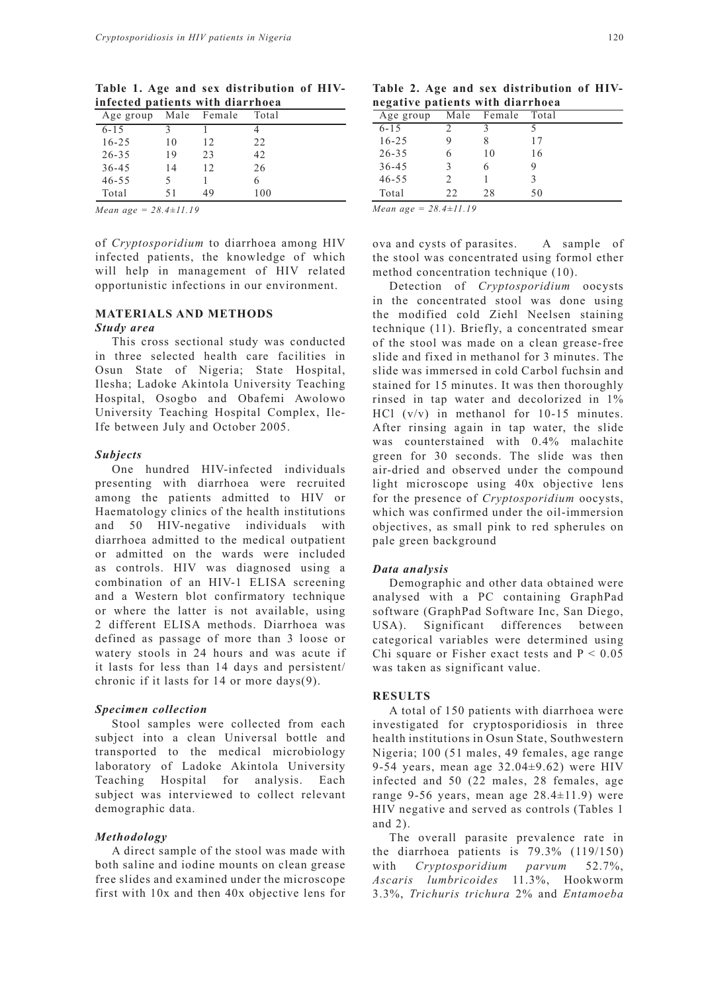| Age group |    | Male Female | Total |  |  |
|-----------|----|-------------|-------|--|--|
| $6 - 15$  |    |             |       |  |  |
| $16 - 25$ | 10 | 12          | 22    |  |  |
| $26 - 35$ | 19 | 23          | 42    |  |  |
| $36 - 45$ | 14 | 12          | 26    |  |  |
| $46 - 55$ | 5  |             |       |  |  |
| Total     | 51 | 49          | 100   |  |  |
|           |    |             |       |  |  |

**Table 1. Age and sex distribution of HIVinfected patients with diarrhoea**

*Mean age = 28.4±11.19*

of *Cryptosporidium* to diarrhoea among HIV infected patients, the knowledge of which will help in management of HIV related opportunistic infections in our environment.

## **MATERIALS AND METHODS**

#### *Study area*

This cross sectional study was conducted in three selected health care facilities in Osun State of Nigeria; State Hospital, Ilesha; Ladoke Akintola University Teaching Hospital, Osogbo and Obafemi Awolowo University Teaching Hospital Complex, Ile-Ife between July and October 2005.

#### *Subjects*

One hundred HIV-infected individuals presenting with diarrhoea were recruited among the patients admitted to HIV or Haematology clinics of the health institutions and 50 HIV-negative individuals with diarrhoea admitted to the medical outpatient or admitted on the wards were included as controls. HIV was diagnosed using a combination of an HIV-1 ELISA screening and a Western blot confirmatory technique or where the latter is not available, using 2 different ELISA methods. Diarrhoea was defined as passage of more than 3 loose or watery stools in 24 hours and was acute if it lasts for less than 14 days and persistent/ chronic if it lasts for 14 or more days(9).

#### *Specimen collection*

Stool samples were collected from each subject into a clean Universal bottle and transported to the medical microbiology laboratory of Ladoke Akintola University Teaching Hospital for analysis. Each subject was interviewed to collect relevant demographic data.

#### *Methodology*

A direct sample of the stool was made with both saline and iodine mounts on clean grease free slides and examined under the microscope first with 10x and then 40x objective lens for

| Age group | Male | Female | Total |
|-----------|------|--------|-------|
| $6 - 15$  |      |        |       |
| $16 - 25$ | 9    |        | 17    |
| $26 - 35$ | 6    | 10     | 16    |
| $36 - 45$ | 3    |        |       |
| $46 - 55$ | 2    |        | 3     |
| Total     | 2.2. | 28     | 50    |

*Mean age = 28.4±11.19*

ova and cysts of parasites. A sample of the stool was concentrated using formol ether method concentration technique (10).

Detection of *Cryptosporidium* oocysts in the concentrated stool was done using the modified cold Ziehl Neelsen staining technique (11). Briefly, a concentrated smear of the stool was made on a clean grease-free slide and fixed in methanol for 3 minutes. The slide was immersed in cold Carbol fuchsin and stained for 15 minutes. It was then thoroughly rinsed in tap water and decolorized in 1% HCl  $(v/v)$  in methanol for 10-15 minutes. After rinsing again in tap water, the slide was counterstained with 0.4% malachite green for 30 seconds. The slide was then air-dried and observed under the compound light microscope using 40x objective lens for the presence of *Cryptosporidium* oocysts, which was confirmed under the oil-immersion objectives, as small pink to red spherules on pale green background

### *Data analysis*

Demographic and other data obtained were analysed with a PC containing GraphPad software (GraphPad Software Inc, San Diego, USA). Significant differences between categorical variables were determined using Chi square or Fisher exact tests and  $P < 0.05$ was taken as significant value.

## **RESULTS**

A total of 150 patients with diarrhoea were investigated for cryptosporidiosis in three health institutions in Osun State, Southwestern Nigeria; 100 (51 males, 49 females, age range 9-54 years, mean age 32.04±9.62) were HIV infected and 50 (22 males, 28 females, age range 9-56 years, mean age 28.4±11.9) were HIV negative and served as controls (Tables 1 and 2).

The overall parasite prevalence rate in the diarrhoea patients is 79.3% (119/150) with *Cryptosporidium parvum* 52.7%, *Ascaris lumbricoides* 11.3%, Hookworm 3.3%, *Trichuris trichura* 2% and *Entamoeba*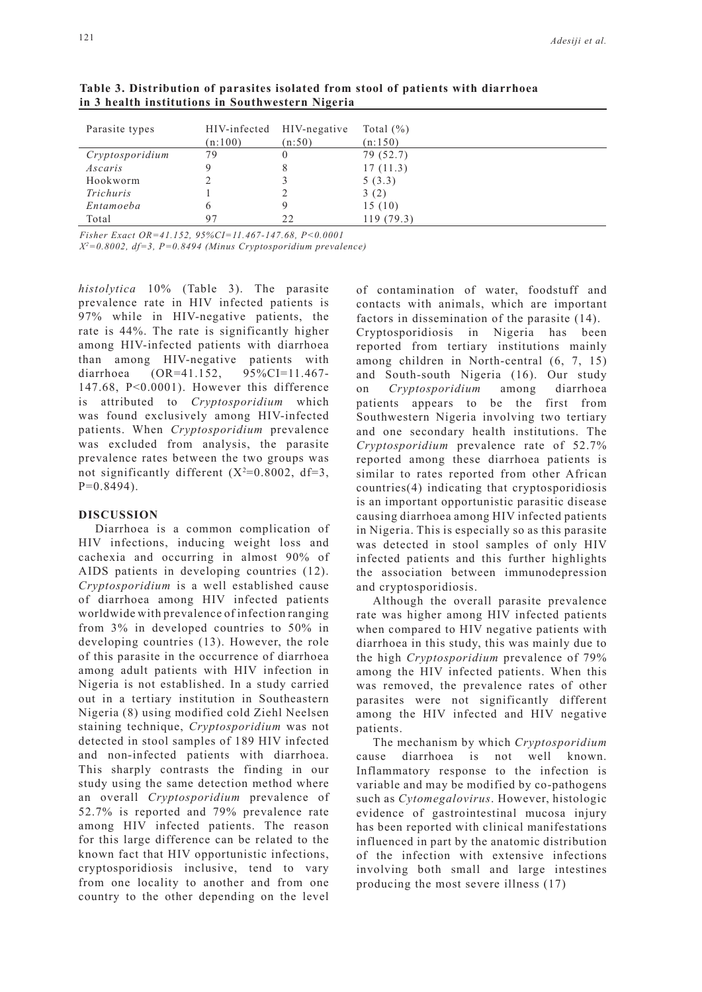| Parasite types  | (n:100) | HIV-infected HIV-negative<br>(n:50) | Total $(\% )$<br>(n:150) |
|-----------------|---------|-------------------------------------|--------------------------|
| Cryptosporidium | 79      |                                     | 79 (52.7)                |
| Ascaris         | Q       | 8                                   | 17(11.3)                 |
| Hookworm        |         |                                     | 5(3.3)                   |
| Trichuris       |         |                                     | 3(2)                     |
| Entamoeba       | 6       |                                     | 15(10)                   |
| Total           | 97      | 22                                  | 119(79.3)                |

**Table 3. Distribution of parasites isolated from stool of patients with diarrhoea in 3 health institutions in Southwestern Nigeria**

*Fisher Exact OR=41.152, 95%CI=11.467-147.68, P<0.0001*

*X2 =0.8002, df=3, P=0.8494 (Minus Cryptosporidium prevalence)*

*histolytica* 10% (Table 3). The parasite prevalence rate in HIV infected patients is 97% while in HIV-negative patients, the rate is 44%. The rate is significantly higher among HIV-infected patients with diarrhoea than among HIV-negative patients with diarrhoea (OR=41.152, 95%CI=11.467- 147.68, P<0.0001). However this difference is attributed to *Cryptosporidium* which was found exclusively among HIV-infected patients. When *Cryptosporidium* prevalence was excluded from analysis, the parasite prevalence rates between the two groups was not significantly different  $(X^2=0.8002, df=3,$  $P=0.8494$ ).

# **DISCUSSION**

Diarrhoea is a common complication of HIV infections, inducing weight loss and cachexia and occurring in almost 90% of AIDS patients in developing countries (12). *Cryptosporidium* is a well established cause of diarrhoea among HIV infected patients worldwide with prevalence of infection ranging from 3% in developed countries to 50% in developing countries (13). However, the role of this parasite in the occurrence of diarrhoea among adult patients with HIV infection in Nigeria is not established. In a study carried out in a tertiary institution in Southeastern Nigeria (8) using modified cold Ziehl Neelsen staining technique, *Cryptosporidium* was not detected in stool samples of 189 HIV infected and non-infected patients with diarrhoea. This sharply contrasts the finding in our study using the same detection method where an overall *Cryptosporidium* prevalence of 52.7% is reported and 79% prevalence rate among HIV infected patients. The reason for this large difference can be related to the known fact that HIV opportunistic infections, cryptosporidiosis inclusive, tend to vary from one locality to another and from one country to the other depending on the level

of contamination of water, foodstuff and contacts with animals, which are important factors in dissemination of the parasite (14).

Cryptosporidiosis in Nigeria has been reported from tertiary institutions mainly among children in North-central (6, 7, 15) and South-south Nigeria (16). Our study on *Cryptosporidium* among diarrhoea patients appears to be the first from Southwestern Nigeria involving two tertiary and one secondary health institutions. The *Cryptosporidium* prevalence rate of 52.7% reported among these diarrhoea patients is similar to rates reported from other African countries(4) indicating that cryptosporidiosis is an important opportunistic parasitic disease causing diarrhoea among HIV infected patients in Nigeria. This is especially so as this parasite was detected in stool samples of only HIV infected patients and this further highlights the association between immunodepression and cryptosporidiosis.

Although the overall parasite prevalence rate was higher among HIV infected patients when compared to HIV negative patients with diarrhoea in this study, this was mainly due to the high *Cryptosporidium* prevalence of 79% among the HIV infected patients. When this was removed, the prevalence rates of other parasites were not significantly different among the HIV infected and HIV negative patients.

The mechanism by which *Cryptosporidium* cause diarrhoea is not well known. Inflammatory response to the infection is variable and may be modified by co-pathogens such as *Cytomegalovirus*. However, histologic evidence of gastrointestinal mucosa injury has been reported with clinical manifestations influenced in part by the anatomic distribution of the infection with extensive infections involving both small and large intestines producing the most severe illness (17)